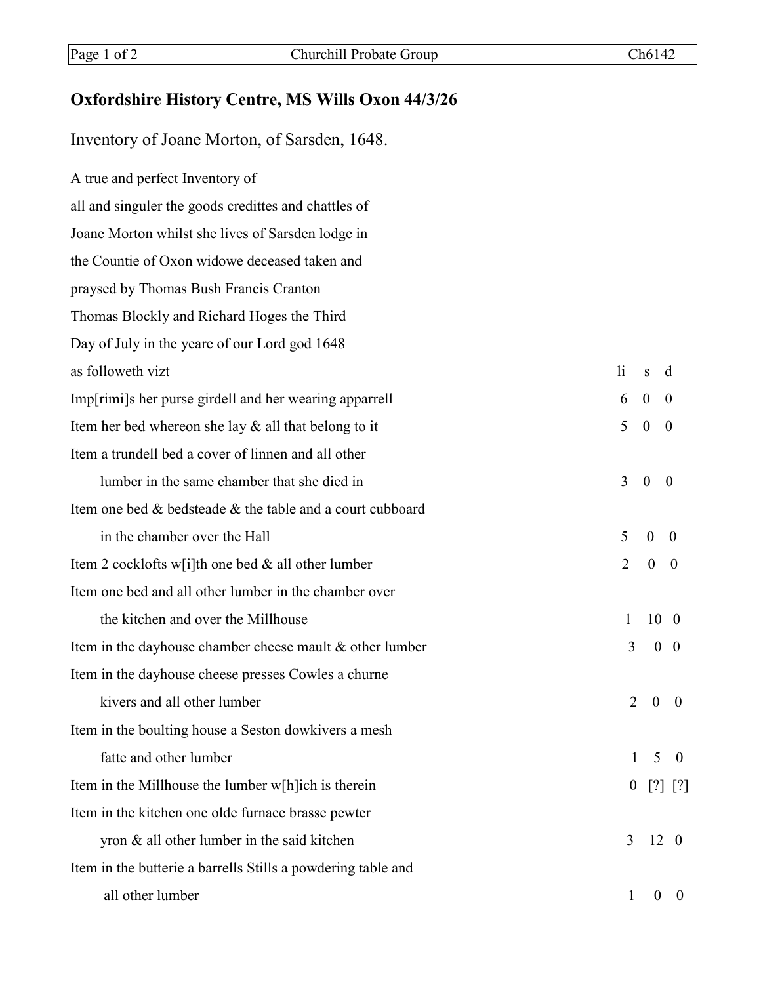## **Oxfordshire History Centre, MS Wills Oxon 44/3/26**

Inventory of Joane Morton, of Sarsden, 1648.

A true and perfect Inventory of all and singuler the goods credittes and chattles of Joane Morton whilst she lives of Sarsden lodge in the Countie of Oxon widowe deceased taken and praysed by Thomas Bush Francis Cranton Thomas Blockly and Richard Hoges the Third Day of July in the yeare of our Lord god 1648 as followeth vizt and the state of the state of the state of the state of the state of the state of the state o Imp[rimi]s her purse girdell and her wearing apparrell 6 0 0 Item her bed whereon she lay  $\&$  all that belong to it  $\qquad \qquad 5 \quad 0 \quad 0$ Item a trundell bed a cover of linnen and all other lumber in the same chamber that she died in  $\frac{3}{3}$  0 0 Item one bed & bedsteade & the table and a court cubboard in the chamber over the Hall  $\overline{5}$  0 0 Item 2 cocklofts w[i]th one bed & all other lumber  $2 \quad 0 \quad 0$ Item one bed and all other lumber in the chamber over the kitchen and over the Millhouse 1 10 0 Item in the dayhouse chamber cheese mault & other lumber 3 0 0 0 Item in the dayhouse cheese presses Cowles a churne kivers and all other lumber  $\sim$  2 0 0 Item in the boulting house a Seston dowkivers a mesh fatte and other lumber 1 5 0 Item in the Millhouse the lumber w[h]ich is therein  $[2]$  [?] [?] Item in the kitchen one olde furnace brasse pewter yron  $\&$  all other lumber in the said kitchen  $3 \quad 12 \quad 0$ Item in the butterie a barrells Stills a powdering table and all other lumber 1 0 0